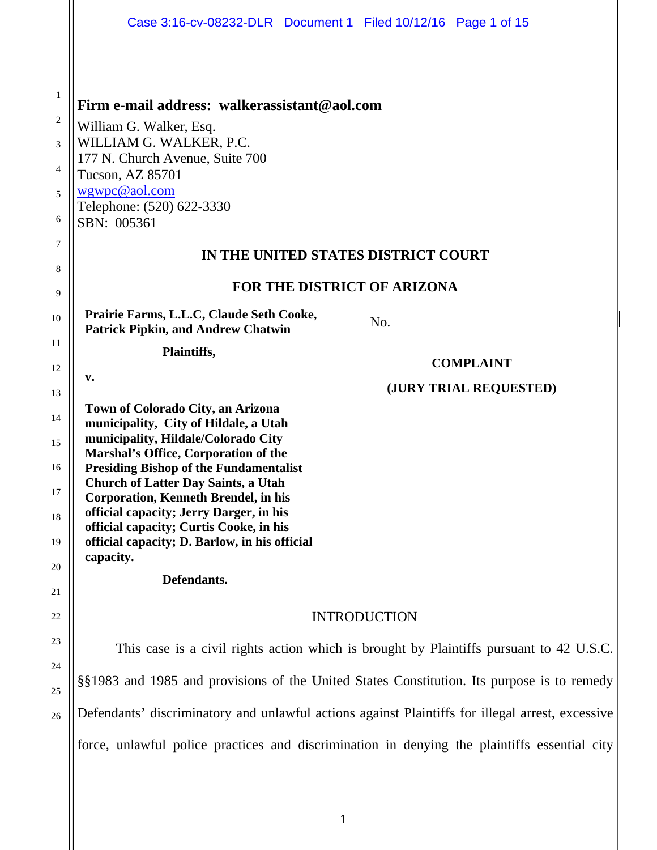|                | Case 3:16-cv-08232-DLR  Document 1  Filed 10/12/16  Page 1 of 15                           |                        |
|----------------|--------------------------------------------------------------------------------------------|------------------------|
| $\mathbf{1}$   |                                                                                            |                        |
| $\overline{2}$ | Firm e-mail address: walkerassistant@aol.com                                               |                        |
| 3              | William G. Walker, Esq.<br>WILLIAM G. WALKER, P.C.                                         |                        |
|                | 177 N. Church Avenue, Suite 700                                                            |                        |
| 4              | Tucson, AZ 85701                                                                           |                        |
| 5              | wgwpc@aol.com<br>Telephone: (520) 622-3330                                                 |                        |
| 6              | SBN: 005361                                                                                |                        |
| $\tau$         | IN THE UNITED STATES DISTRICT COURT                                                        |                        |
| 8              |                                                                                            |                        |
| 9              | <b>FOR THE DISTRICT OF ARIZONA</b>                                                         |                        |
| 10             | Prairie Farms, L.L.C, Claude Seth Cooke,<br><b>Patrick Pipkin, and Andrew Chatwin</b>      | No.                    |
| 11             | Plaintiffs,                                                                                |                        |
| 12             | v.                                                                                         | <b>COMPLAINT</b>       |
| 13             |                                                                                            | (JURY TRIAL REQUESTED) |
| 14             | Town of Colorado City, an Arizona<br>municipality, City of Hildale, a Utah                 |                        |
| 15             | municipality, Hildale/Colorado City                                                        |                        |
| 16             | Marshal's Office, Corporation of the<br><b>Presiding Bishop of the Fundamentalist</b>      |                        |
|                | <b>Church of Latter Day Saints, a Utah</b>                                                 |                        |
| 17             | <b>Corporation, Kenneth Brendel, in his</b><br>official capacity; Jerry Darger, in his     |                        |
| 18             | official capacity; Curtis Cooke, in his                                                    |                        |
| 19             | official capacity; D. Barlow, in his official<br>capacity.                                 |                        |
| 20             | Defendants.                                                                                |                        |
| 21             |                                                                                            |                        |
| 22             | <b>INTRODUCTION</b>                                                                        |                        |
| 23             |                                                                                            |                        |
| 24             | This case is a civil rights action which is brought by Plaintiffs pursuant to 42 U.S.C.    |                        |
| 25             | §§1983 and 1985 and provisions of the United States Constitution. Its purpose is to remedy |                        |

Defendants' discriminatory and unlawful actions against Plaintiffs for illegal arrest, excessive

26

force, unlawful police practices and discrimination in denying the plaintiffs essential city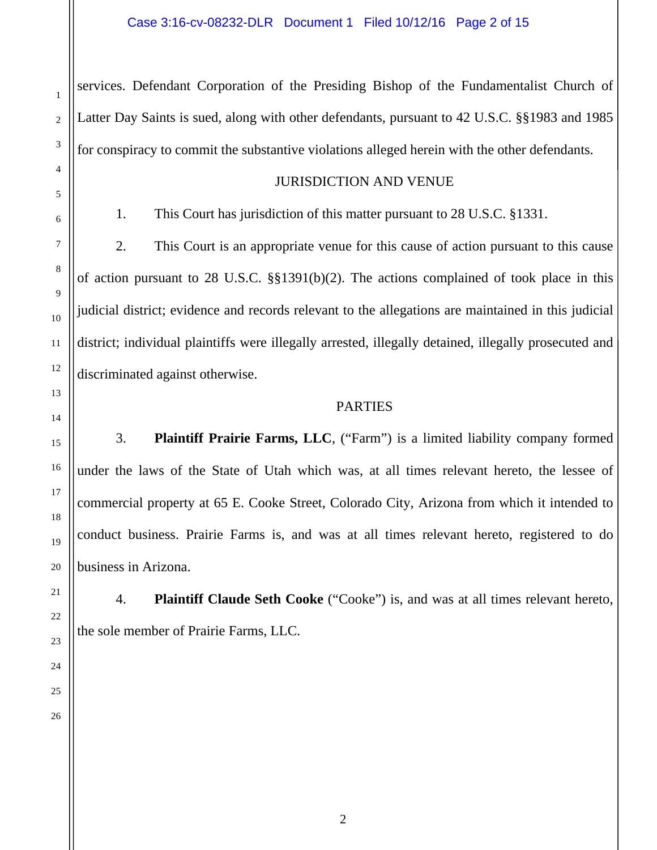services. Defendant Corporation of the Presiding Bishop of the Fundamentalist Church of Latter Day Saints is sued, along with other defendants, pursuant to 42 U.S.C. §§1983 and 1985 for conspiracy to commit the substantive violations alleged herein with the other defendants.

#### JURISDICTION AND VENUE

1. This Court has jurisdiction of this matter pursuant to 28 U.S.C. §1331.

2. This Court is an appropriate venue for this cause of action pursuant to this cause of action pursuant to 28 U.S.C. §§1391(b)(2). The actions complained of took place in this judicial district; evidence and records relevant to the allegations are maintained in this judicial district; individual plaintiffs were illegally arrested, illegally detained, illegally prosecuted and discriminated against otherwise.

#### PARTIES

3. **Plaintiff Prairie Farms, LLC**, ("Farm") is a limited liability company formed under the laws of the State of Utah which was, at all times relevant hereto, the lessee of commercial property at 65 E. Cooke Street, Colorado City, Arizona from which it intended to conduct business. Prairie Farms is, and was at all times relevant hereto, registered to do business in Arizona.

4. **Plaintiff Claude Seth Cooke** ("Cooke") is, and was at all times relevant hereto, the sole member of Prairie Farms, LLC.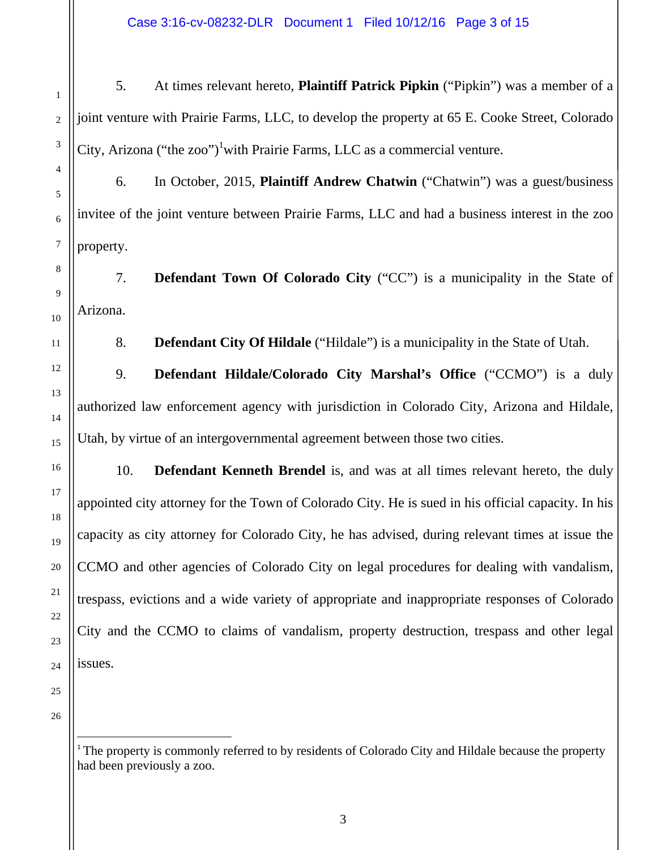Case 3:16-cv-08232-DLR Document 1 Filed 10/12/16 Page 3 of 15

5. At times relevant hereto, **Plaintiff Patrick Pipkin** ("Pipkin") was a member of a joint venture with Prairie Farms, LLC, to develop the property at 65 E. Cooke Street, Colorado City, Arizona ("the zoo")<sup>1</sup> with Prairie Farms, LLC as a commercial venture.

6. In October, 2015, **Plaintiff Andrew Chatwin** ("Chatwin") was a guest/business invitee of the joint venture between Prairie Farms, LLC and had a business interest in the zoo property.

7. **Defendant Town Of Colorado City** ("CC") is a municipality in the State of Arizona.

8. **Defendant City Of Hildale** ("Hildale") is a municipality in the State of Utah.

9. **Defendant Hildale/Colorado City Marshal's Office** ("CCMO") is a duly authorized law enforcement agency with jurisdiction in Colorado City, Arizona and Hildale, Utah, by virtue of an intergovernmental agreement between those two cities.

10. **Defendant Kenneth Brendel** is, and was at all times relevant hereto, the duly appointed city attorney for the Town of Colorado City. He is sued in his official capacity. In his capacity as city attorney for Colorado City, he has advised, during relevant times at issue the CCMO and other agencies of Colorado City on legal procedures for dealing with vandalism, trespass, evictions and a wide variety of appropriate and inappropriate responses of Colorado City and the CCMO to claims of vandalism, property destruction, trespass and other legal issues.

25 26

1

2

3

4

5

6

7

8

9

10

11

12

13

14

15

16

17

18

19

20

21

22

23

<sup>&</sup>lt;sup>1</sup> The property is commonly referred to by residents of Colorado City and Hildale because the property had been previously a zoo.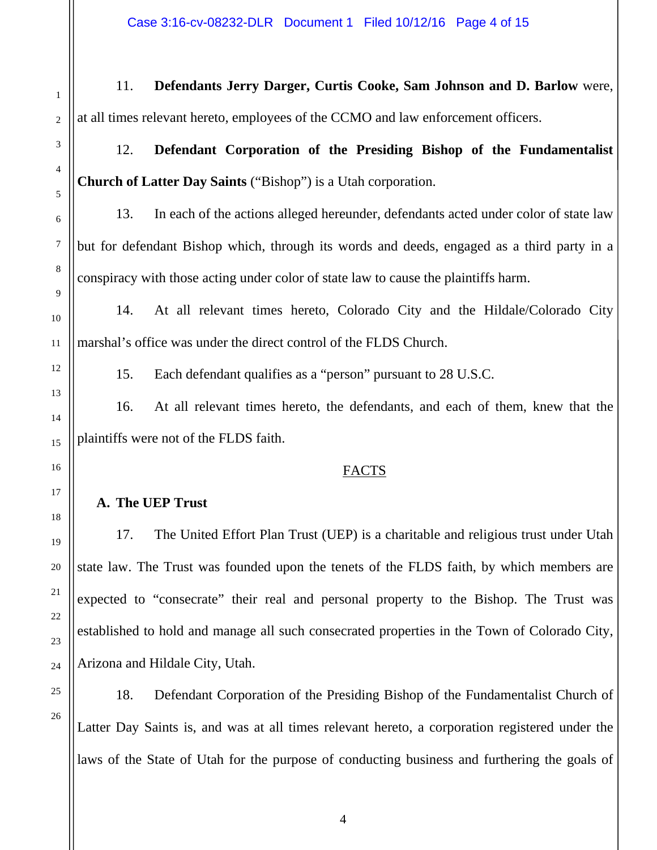Case 3:16-cv-08232-DLR Document 1 Filed 10/12/16 Page 4 of 15

11. **Defendants Jerry Darger, Curtis Cooke, Sam Johnson and D. Barlow** were, at all times relevant hereto, employees of the CCMO and law enforcement officers.

12. **Defendant Corporation of the Presiding Bishop of the Fundamentalist Church of Latter Day Saints** ("Bishop") is a Utah corporation.

13. In each of the actions alleged hereunder, defendants acted under color of state law but for defendant Bishop which, through its words and deeds, engaged as a third party in a conspiracy with those acting under color of state law to cause the plaintiffs harm.

14. At all relevant times hereto, Colorado City and the Hildale/Colorado City marshal's office was under the direct control of the FLDS Church.

15. Each defendant qualifies as a "person" pursuant to 28 U.S.C.

16. At all relevant times hereto, the defendants, and each of them, knew that the plaintiffs were not of the FLDS faith.

#### FACTS

# **A. The UEP Trust**

17. The United Effort Plan Trust (UEP) is a charitable and religious trust under Utah state law. The Trust was founded upon the tenets of the FLDS faith, by which members are expected to "consecrate" their real and personal property to the Bishop. The Trust was established to hold and manage all such consecrated properties in the Town of Colorado City, Arizona and Hildale City, Utah.

18. Defendant Corporation of the Presiding Bishop of the Fundamentalist Church of Latter Day Saints is, and was at all times relevant hereto, a corporation registered under the laws of the State of Utah for the purpose of conducting business and furthering the goals of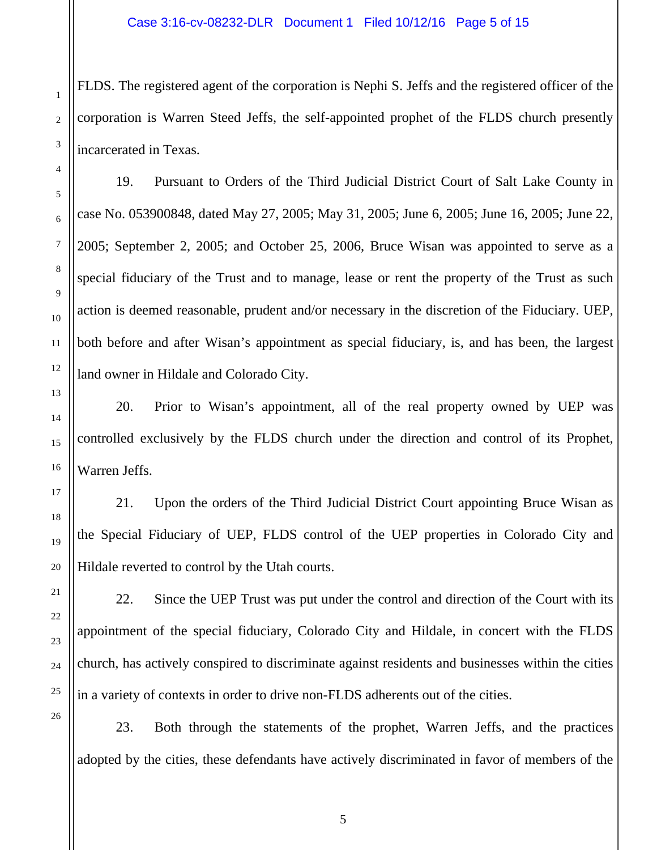FLDS. The registered agent of the corporation is Nephi S. Jeffs and the registered officer of the corporation is Warren Steed Jeffs, the self-appointed prophet of the FLDS church presently incarcerated in Texas.

19. Pursuant to Orders of the Third Judicial District Court of Salt Lake County in case No. 053900848, dated May 27, 2005; May 31, 2005; June 6, 2005; June 16, 2005; June 22, 2005; September 2, 2005; and October 25, 2006, Bruce Wisan was appointed to serve as a special fiduciary of the Trust and to manage, lease or rent the property of the Trust as such action is deemed reasonable, prudent and/or necessary in the discretion of the Fiduciary. UEP, both before and after Wisan's appointment as special fiduciary, is, and has been, the largest land owner in Hildale and Colorado City.

20. Prior to Wisan's appointment, all of the real property owned by UEP was controlled exclusively by the FLDS church under the direction and control of its Prophet, Warren Jeffs.

21. Upon the orders of the Third Judicial District Court appointing Bruce Wisan as the Special Fiduciary of UEP, FLDS control of the UEP properties in Colorado City and Hildale reverted to control by the Utah courts.

22. Since the UEP Trust was put under the control and direction of the Court with its appointment of the special fiduciary, Colorado City and Hildale, in concert with the FLDS church, has actively conspired to discriminate against residents and businesses within the cities in a variety of contexts in order to drive non-FLDS adherents out of the cities.

23. Both through the statements of the prophet, Warren Jeffs, and the practices adopted by the cities, these defendants have actively discriminated in favor of members of the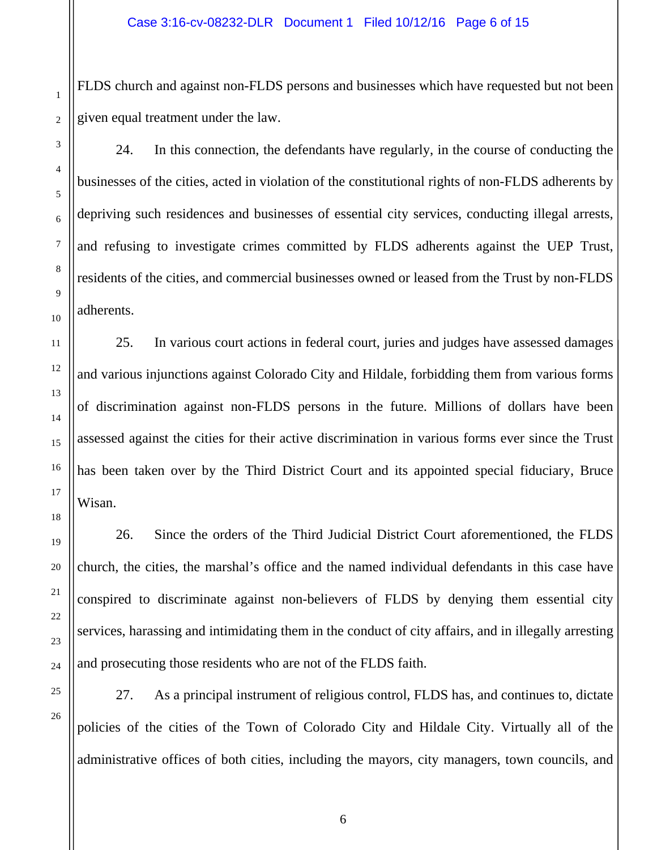FLDS church and against non-FLDS persons and businesses which have requested but not been given equal treatment under the law.

24. In this connection, the defendants have regularly, in the course of conducting the businesses of the cities, acted in violation of the constitutional rights of non-FLDS adherents by depriving such residences and businesses of essential city services, conducting illegal arrests, and refusing to investigate crimes committed by FLDS adherents against the UEP Trust, residents of the cities, and commercial businesses owned or leased from the Trust by non-FLDS adherents.

25. In various court actions in federal court, juries and judges have assessed damages and various injunctions against Colorado City and Hildale, forbidding them from various forms of discrimination against non-FLDS persons in the future. Millions of dollars have been assessed against the cities for their active discrimination in various forms ever since the Trust has been taken over by the Third District Court and its appointed special fiduciary, Bruce Wisan.

26. Since the orders of the Third Judicial District Court aforementioned, the FLDS church, the cities, the marshal's office and the named individual defendants in this case have conspired to discriminate against non-believers of FLDS by denying them essential city services, harassing and intimidating them in the conduct of city affairs, and in illegally arresting and prosecuting those residents who are not of the FLDS faith.

27. As a principal instrument of religious control, FLDS has, and continues to, dictate policies of the cities of the Town of Colorado City and Hildale City. Virtually all of the administrative offices of both cities, including the mayors, city managers, town councils, and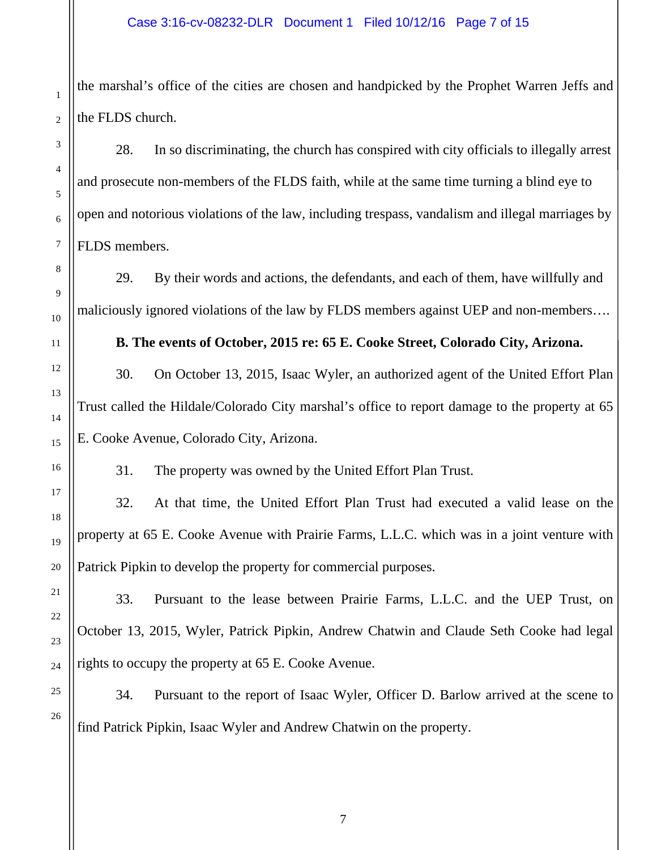the marshal's office of the cities are chosen and handpicked by the Prophet Warren Jeffs and the FLDS church.

28. In so discriminating, the church has conspired with city officials to illegally arrest and prosecute non-members of the FLDS faith, while at the same time turning a blind eye to open and notorious violations of the law, including trespass, vandalism and illegal marriages by FLDS members.

29. By their words and actions, the defendants, and each of them, have willfully and maliciously ignored violations of the law by FLDS members against UEP and non-members….

**B. The events of October, 2015 re: 65 E. Cooke Street, Colorado City, Arizona.** 

30. On October 13, 2015, Isaac Wyler, an authorized agent of the United Effort Plan Trust called the Hildale/Colorado City marshal's office to report damage to the property at 65 E. Cooke Avenue, Colorado City, Arizona.

31. The property was owned by the United Effort Plan Trust.

32. At that time, the United Effort Plan Trust had executed a valid lease on the property at 65 E. Cooke Avenue with Prairie Farms, L.L.C. which was in a joint venture with Patrick Pipkin to develop the property for commercial purposes.

33. Pursuant to the lease between Prairie Farms, L.L.C. and the UEP Trust, on October 13, 2015, Wyler, Patrick Pipkin, Andrew Chatwin and Claude Seth Cooke had legal rights to occupy the property at 65 E. Cooke Avenue.

34. Pursuant to the report of Isaac Wyler, Officer D. Barlow arrived at the scene to find Patrick Pipkin, Isaac Wyler and Andrew Chatwin on the property.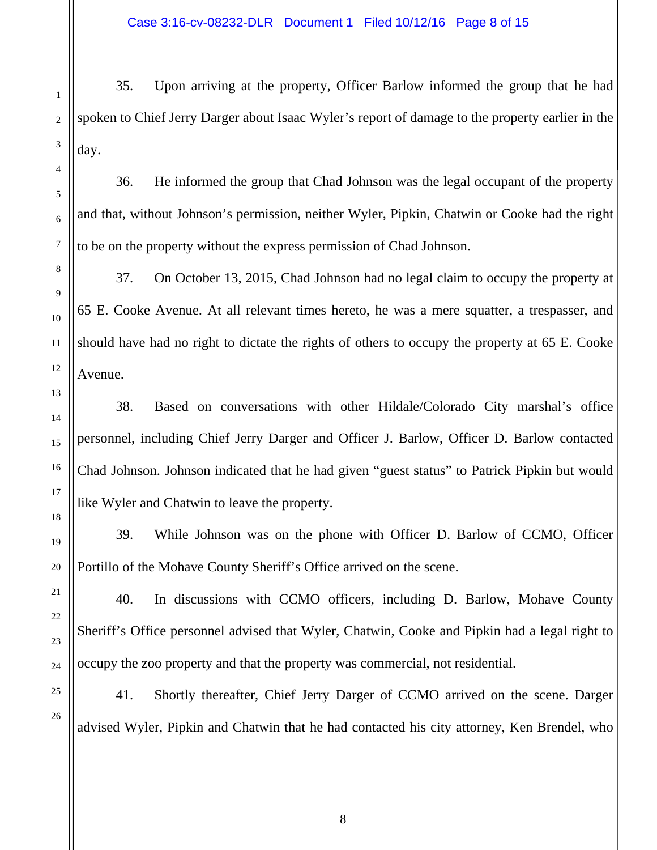35. Upon arriving at the property, Officer Barlow informed the group that he had spoken to Chief Jerry Darger about Isaac Wyler's report of damage to the property earlier in the day.

36. He informed the group that Chad Johnson was the legal occupant of the property and that, without Johnson's permission, neither Wyler, Pipkin, Chatwin or Cooke had the right to be on the property without the express permission of Chad Johnson.

37. On October 13, 2015, Chad Johnson had no legal claim to occupy the property at 65 E. Cooke Avenue. At all relevant times hereto, he was a mere squatter, a trespasser, and should have had no right to dictate the rights of others to occupy the property at 65 E. Cooke Avenue.

38. Based on conversations with other Hildale/Colorado City marshal's office personnel, including Chief Jerry Darger and Officer J. Barlow, Officer D. Barlow contacted Chad Johnson. Johnson indicated that he had given "guest status" to Patrick Pipkin but would like Wyler and Chatwin to leave the property.

39. While Johnson was on the phone with Officer D. Barlow of CCMO, Officer Portillo of the Mohave County Sheriff's Office arrived on the scene.

40. In discussions with CCMO officers, including D. Barlow, Mohave County Sheriff's Office personnel advised that Wyler, Chatwin, Cooke and Pipkin had a legal right to occupy the zoo property and that the property was commercial, not residential.

41. Shortly thereafter, Chief Jerry Darger of CCMO arrived on the scene. Darger advised Wyler, Pipkin and Chatwin that he had contacted his city attorney, Ken Brendel, who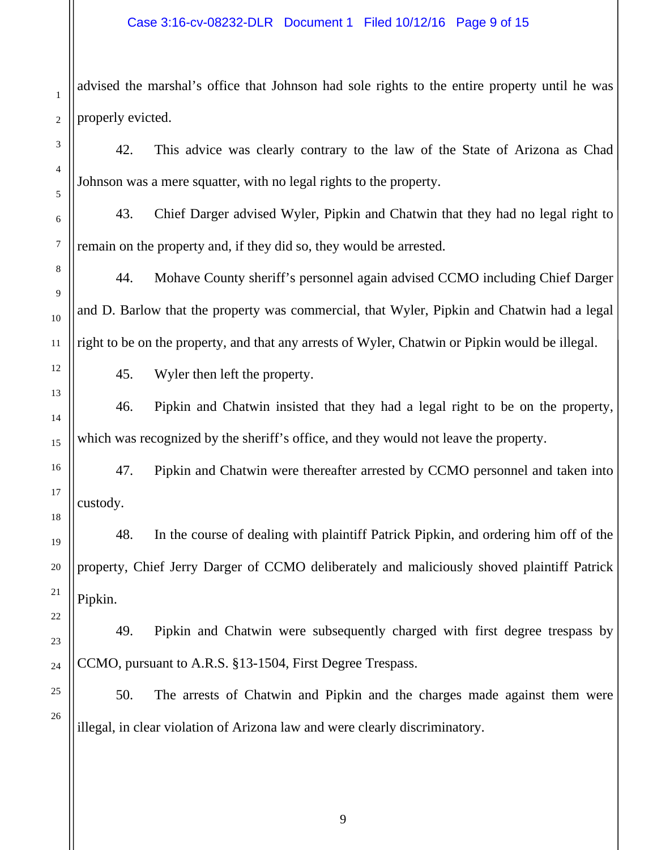advised the marshal's office that Johnson had sole rights to the entire property until he was properly evicted.

42. This advice was clearly contrary to the law of the State of Arizona as Chad Johnson was a mere squatter, with no legal rights to the property.

43. Chief Darger advised Wyler, Pipkin and Chatwin that they had no legal right to remain on the property and, if they did so, they would be arrested.

44. Mohave County sheriff's personnel again advised CCMO including Chief Darger and D. Barlow that the property was commercial, that Wyler, Pipkin and Chatwin had a legal right to be on the property, and that any arrests of Wyler, Chatwin or Pipkin would be illegal.

45. Wyler then left the property.

46. Pipkin and Chatwin insisted that they had a legal right to be on the property, which was recognized by the sheriff's office, and they would not leave the property.

47. Pipkin and Chatwin were thereafter arrested by CCMO personnel and taken into custody.

48. In the course of dealing with plaintiff Patrick Pipkin, and ordering him off of the property, Chief Jerry Darger of CCMO deliberately and maliciously shoved plaintiff Patrick Pipkin.

49. Pipkin and Chatwin were subsequently charged with first degree trespass by CCMO, pursuant to A.R.S. §13-1504, First Degree Trespass.

50. The arrests of Chatwin and Pipkin and the charges made against them were illegal, in clear violation of Arizona law and were clearly discriminatory.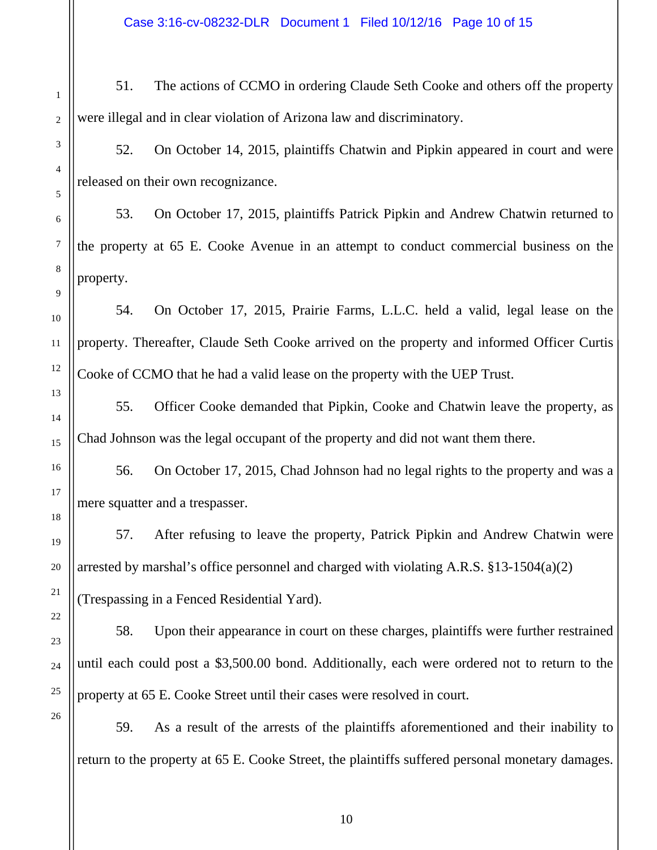Case 3:16-cv-08232-DLR Document 1 Filed 10/12/16 Page 10 of 15

51. The actions of CCMO in ordering Claude Seth Cooke and others off the property were illegal and in clear violation of Arizona law and discriminatory.

52. On October 14, 2015, plaintiffs Chatwin and Pipkin appeared in court and were released on their own recognizance.

53. On October 17, 2015, plaintiffs Patrick Pipkin and Andrew Chatwin returned to the property at 65 E. Cooke Avenue in an attempt to conduct commercial business on the property.

54. On October 17, 2015, Prairie Farms, L.L.C. held a valid, legal lease on the property. Thereafter, Claude Seth Cooke arrived on the property and informed Officer Curtis Cooke of CCMO that he had a valid lease on the property with the UEP Trust.

55. Officer Cooke demanded that Pipkin, Cooke and Chatwin leave the property, as Chad Johnson was the legal occupant of the property and did not want them there.

56. On October 17, 2015, Chad Johnson had no legal rights to the property and was a mere squatter and a trespasser.

57. After refusing to leave the property, Patrick Pipkin and Andrew Chatwin were arrested by marshal's office personnel and charged with violating A.R.S. §13-1504(a)(2) (Trespassing in a Fenced Residential Yard).

58. Upon their appearance in court on these charges, plaintiffs were further restrained until each could post a \$3,500.00 bond. Additionally, each were ordered not to return to the property at 65 E. Cooke Street until their cases were resolved in court.

59. As a result of the arrests of the plaintiffs aforementioned and their inability to return to the property at 65 E. Cooke Street, the plaintiffs suffered personal monetary damages.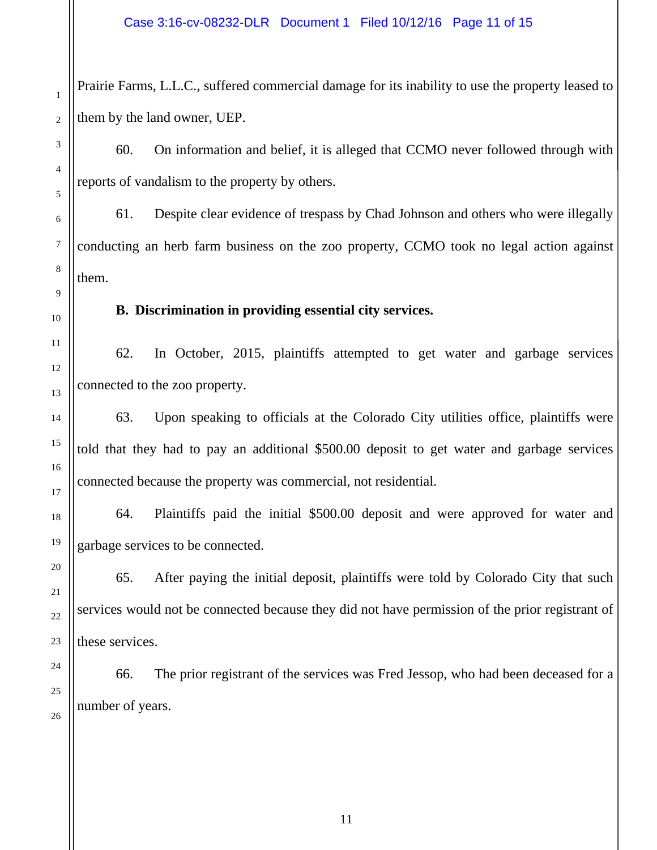Prairie Farms, L.L.C., suffered commercial damage for its inability to use the property leased to them by the land owner, UEP.

60. On information and belief, it is alleged that CCMO never followed through with reports of vandalism to the property by others.

61. Despite clear evidence of trespass by Chad Johnson and others who were illegally conducting an herb farm business on the zoo property, CCMO took no legal action against them.

**B. Discrimination in providing essential city services.** 

62. In October, 2015, plaintiffs attempted to get water and garbage services connected to the zoo property.

63. Upon speaking to officials at the Colorado City utilities office, plaintiffs were told that they had to pay an additional \$500.00 deposit to get water and garbage services connected because the property was commercial, not residential.

64. Plaintiffs paid the initial \$500.00 deposit and were approved for water and garbage services to be connected.

65. After paying the initial deposit, plaintiffs were told by Colorado City that such services would not be connected because they did not have permission of the prior registrant of these services.

66. The prior registrant of the services was Fred Jessop, who had been deceased for a number of years.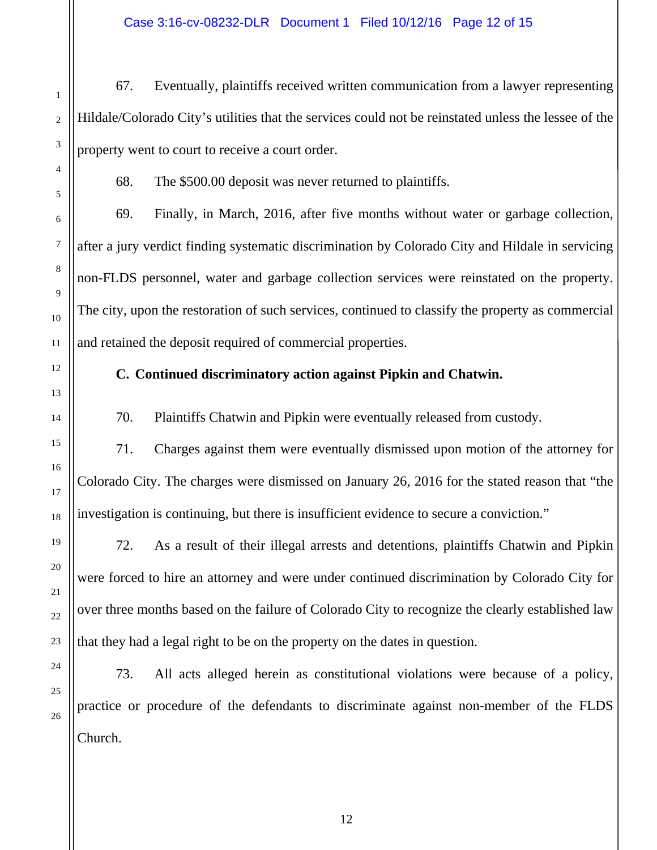Case 3:16-cv-08232-DLR Document 1 Filed 10/12/16 Page 12 of 15

67. Eventually, plaintiffs received written communication from a lawyer representing Hildale/Colorado City's utilities that the services could not be reinstated unless the lessee of the property went to court to receive a court order.

68. The \$500.00 deposit was never returned to plaintiffs.

69. Finally, in March, 2016, after five months without water or garbage collection, after a jury verdict finding systematic discrimination by Colorado City and Hildale in servicing non-FLDS personnel, water and garbage collection services were reinstated on the property. The city, upon the restoration of such services, continued to classify the property as commercial and retained the deposit required of commercial properties.

# **C. Continued discriminatory action against Pipkin and Chatwin.**

70. Plaintiffs Chatwin and Pipkin were eventually released from custody.

71. Charges against them were eventually dismissed upon motion of the attorney for Colorado City. The charges were dismissed on January 26, 2016 for the stated reason that "the investigation is continuing, but there is insufficient evidence to secure a conviction."

72. As a result of their illegal arrests and detentions, plaintiffs Chatwin and Pipkin were forced to hire an attorney and were under continued discrimination by Colorado City for over three months based on the failure of Colorado City to recognize the clearly established law that they had a legal right to be on the property on the dates in question.

73. All acts alleged herein as constitutional violations were because of a policy, practice or procedure of the defendants to discriminate against non-member of the FLDS Church.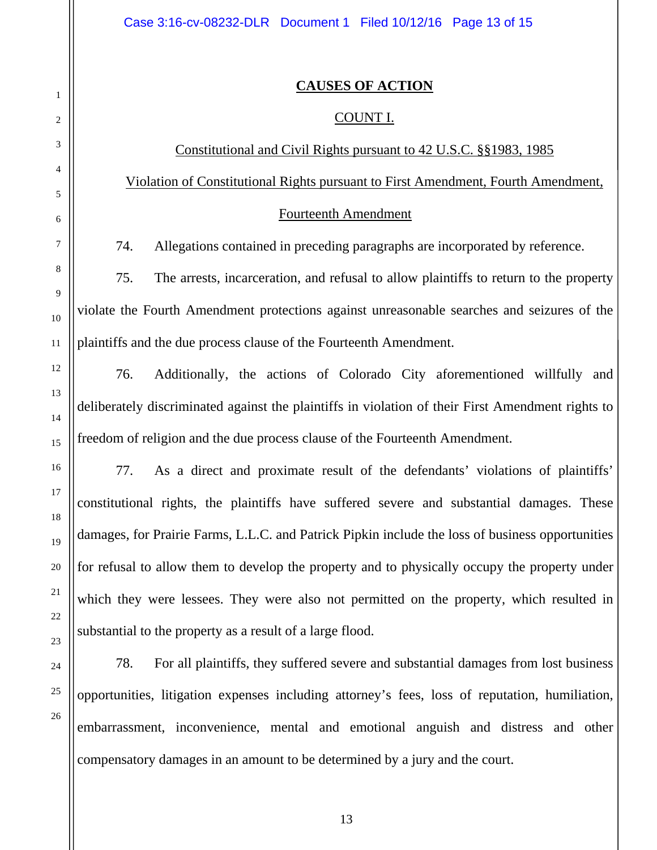#### **CAUSES OF ACTION**

#### COUNT I.

## Constitutional and Civil Rights pursuant to 42 U.S.C. §§1983, 1985

Violation of Constitutional Rights pursuant to First Amendment, Fourth Amendment,

#### Fourteenth Amendment

74. Allegations contained in preceding paragraphs are incorporated by reference.

75. The arrests, incarceration, and refusal to allow plaintiffs to return to the property violate the Fourth Amendment protections against unreasonable searches and seizures of the plaintiffs and the due process clause of the Fourteenth Amendment.

76. Additionally, the actions of Colorado City aforementioned willfully and deliberately discriminated against the plaintiffs in violation of their First Amendment rights to freedom of religion and the due process clause of the Fourteenth Amendment.

77. As a direct and proximate result of the defendants' violations of plaintiffs' constitutional rights, the plaintiffs have suffered severe and substantial damages. These damages, for Prairie Farms, L.L.C. and Patrick Pipkin include the loss of business opportunities for refusal to allow them to develop the property and to physically occupy the property under which they were lessees. They were also not permitted on the property, which resulted in substantial to the property as a result of a large flood.

78. For all plaintiffs, they suffered severe and substantial damages from lost business opportunities, litigation expenses including attorney's fees, loss of reputation, humiliation, embarrassment, inconvenience, mental and emotional anguish and distress and other compensatory damages in an amount to be determined by a jury and the court.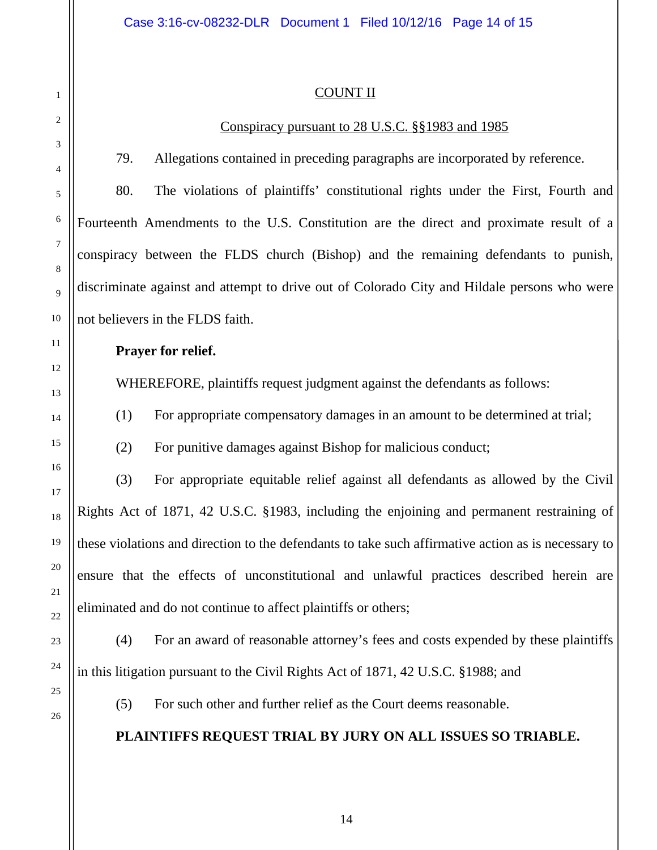## COUNT II

## Conspiracy pursuant to 28 U.S.C. §§1983 and 1985

79. Allegations contained in preceding paragraphs are incorporated by reference.

80. The violations of plaintiffs' constitutional rights under the First, Fourth and Fourteenth Amendments to the U.S. Constitution are the direct and proximate result of a conspiracy between the FLDS church (Bishop) and the remaining defendants to punish, discriminate against and attempt to drive out of Colorado City and Hildale persons who were not believers in the FLDS faith.

## **Prayer for relief.**

WHEREFORE, plaintiffs request judgment against the defendants as follows:

(1) For appropriate compensatory damages in an amount to be determined at trial;

(2) For punitive damages against Bishop for malicious conduct;

(3) For appropriate equitable relief against all defendants as allowed by the Civil Rights Act of 1871, 42 U.S.C. §1983, including the enjoining and permanent restraining of these violations and direction to the defendants to take such affirmative action as is necessary to ensure that the effects of unconstitutional and unlawful practices described herein are eliminated and do not continue to affect plaintiffs or others;

(4) For an award of reasonable attorney's fees and costs expended by these plaintiffs in this litigation pursuant to the Civil Rights Act of 1871, 42 U.S.C. §1988; and

(5) For such other and further relief as the Court deems reasonable.

# **PLAINTIFFS REQUEST TRIAL BY JURY ON ALL ISSUES SO TRIABLE.**